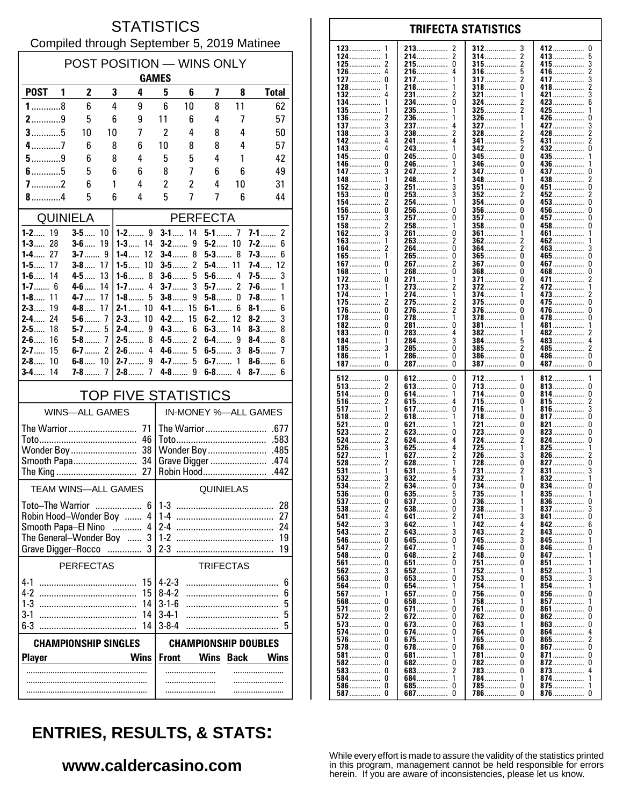### **STATISTICS** Compiled through September 5, 2019 Matinee

| POST POSITION - WINS ONLY<br><b>GAMES</b>    |                       |                     |          |                            |                                            |                     |                       |             |                           |  |
|----------------------------------------------|-----------------------|---------------------|----------|----------------------------|--------------------------------------------|---------------------|-----------------------|-------------|---------------------------|--|
| <b>POST</b>                                  | 1                     | $\mathbf{2}$        |          | 3<br>4                     | 5                                          | 6                   | 7                     | 8           | <b>Total</b>              |  |
| $1$ 8                                        |                       | 6                   |          | 4<br>9                     | 6                                          | 10                  | 8                     | 11          | 62                        |  |
| $2$ 9                                        |                       | 5                   |          | 6<br>9                     | 11                                         | 6                   | 4                     | 7           | 57                        |  |
| $3$ 5                                        |                       | 10                  | 10       | 7                          | 2                                          | 4                   | 8                     | 4           | 50                        |  |
| $4$ 7                                        |                       | 6                   |          | 8<br>6                     | 10                                         | 8                   | 8                     | 4           | 57                        |  |
| $5$ 9                                        |                       | 6                   |          | 8<br>4                     | 5                                          | 5                   | 4                     | 1           | 42                        |  |
| $6$ 5                                        |                       | 5                   |          | 6<br>6                     | 8                                          | 7                   | 6                     | 6           | 49                        |  |
| $7$ 2                                        |                       | 6                   |          | 1<br>4                     | $\overline{c}$                             | 2                   | 4                     | 10          | 31                        |  |
| $8$ 4                                        |                       | 5                   |          | 6<br>4                     | 5                                          | 7                   | 7                     | 6           | 44                        |  |
|                                              | <b>QUINIELA</b>       |                     |          |                            |                                            |                     | <b>PERFECTA</b>       |             |                           |  |
| <b>1-2</b> 19<br>$1 - 3$<br>28               |                       | $3 - 5$ 10<br>$3-6$ | -19      | $1 - 3$<br>14              | $3 - 1$ 14<br>$3-2$                        | 9                   | $5-1$ 7<br>$5 - 2$ 10 |             | $7-1$<br>2<br>7-2…….<br>6 |  |
| $1-4$<br>27                                  |                       | <b>3-7</b>          | 9        | 1-4……<br>12                | $3-4$                                      | 8                   | $5-3$                 | 8           | 7-3…….<br>6               |  |
| <b>1-5</b> 17                                |                       | $3 - 8$ 17          |          | 10<br>1-5……                | $3-5$                                      | $\overline{2}$      | 5-4                   | 11          | $7 - 4$ 12                |  |
| $1-6$<br>14                                  |                       | 4.5                 | 13       | 8<br>$1-6$                 | $3-6$                                      | 5                   | $5-6$                 | 4           | 3<br>$7-5$                |  |
| $1 - 7$ 6<br>$1-8$<br>11                     |                       | $4 - 6$<br>$4 - 7$  | 14<br>17 | $1 - 7$<br>4<br>$1-8$<br>5 | $3-7$<br>$3-8$                             | 3<br>9              | $5-7$<br>$5-8$        | 2<br>0      | $7-6$<br>1<br>7-8……<br>1  |  |
| $2 - 3$<br>19                                |                       | $4 - 8$             | 17       | $2 - 1$<br>10              | $4 - 1$                                    | 15                  | $6-1$                 | 6           | $8 - 1$<br>6              |  |
| $2-4$<br>24                                  |                       | $5-6$               | 7        | $2 - 3$<br>10              | $4-2$                                      | 15                  | $6 - 2$ 12            |             | $8-2$<br>3                |  |
| $2-5$<br>18                                  |                       | $5-7$               | 5        | $2 - 4$<br>9               | $4-3$                                      | 6                   | $6-3$                 | 14          | $8 - 3$<br>8              |  |
| $2 - 6$<br>16<br>$2 - 7$<br>15               |                       | $5-8$<br>$6-7$      | 7<br>2   | $2-5$<br>8<br>$2 - 6$<br>4 | $4-5$<br>$4-6$                             | $\overline{2}$<br>5 | 6-4……<br>$6-5$        | 9<br>3      | $8-4$<br>8<br>$8-5$<br>7  |  |
| 10<br>$2 - 8$                                |                       | $6 - 8$ 10          |          | 9<br>$2 - 7$               | 4-7……                                      | 5                   | $6-7$                 | 1           | $8-6$<br>6                |  |
| $3-4$<br>14                                  |                       | 7-8                 | 7        | $2 - 8$<br>7               | $4-8$                                      | 9                   | $6-8$                 | 4           | $8-7$<br>6                |  |
|                                              |                       |                     |          | <b>TOP FIVE STATISTICS</b> |                                            |                     |                       |             |                           |  |
|                                              | <b>WINS-ALL GAMES</b> |                     |          |                            |                                            |                     |                       |             | IN-MONEY %-ALL GAMES      |  |
| The Warrior                                  |                       |                     |          | 71                         |                                            |                     |                       |             |                           |  |
|                                              |                       |                     |          | 46                         |                                            |                     |                       |             | .583                      |  |
| Wonder Boy<br>38                             |                       |                     |          |                            | Wonder Boy<br>.485<br>.474<br>Grave Digger |                     |                       |             |                           |  |
| Smooth Papa 34<br>27<br>The King             |                       |                     |          | Robin Hood<br>.442         |                                            |                     |                       |             |                           |  |
|                                              |                       |                     |          | <b>TEAM WINS-ALL GAMES</b> |                                            |                     | <b>QUINIELAS</b>      |             |                           |  |
| Toto–The Warrior                             |                       |                     |          | 6                          | 28<br>$1-3$                                |                     |                       |             |                           |  |
| Robin Hood-Wonder Boy                        |                       |                     |          | 4                          | $1-4$<br>27                                |                     |                       |             |                           |  |
| Smooth Papa-El Nino<br>4<br>.                |                       |                     |          | 2-4<br>24                  |                                            |                     |                       |             |                           |  |
| The General-Wonder Boy<br>Grave Digger-Rocco |                       |                     |          | 3<br>3                     | $1 - 2$<br>$2-3$                           |                     |                       |             | 19<br>19                  |  |
|                                              | <b>PERFECTAS</b>      |                     |          |                            |                                            |                     | <b>TRIFECTAS</b>      |             |                           |  |
| $4 - 1$                                      |                       |                     |          |                            |                                            |                     |                       |             |                           |  |
| $4-2$                                        |                       |                     |          | 15<br>15                   | $4-2-3$<br>$8 - 4 - 2$                     |                     |                       |             | 6<br>6                    |  |
| $1 - 3$                                      |                       |                     |          | 14                         | $3 - 1 - 6$                                |                     |                       |             | 5                         |  |
| $3-1$                                        |                       |                     |          | 14                         | $3 - 4 - 1$                                |                     |                       |             | 5                         |  |
| $6-3$                                        |                       |                     |          | 14                         | $3 - 8 - 4$                                |                     |                       |             | 5                         |  |
| <b>CHAMPIONSHIP SINGLES</b>                  |                       |                     |          |                            | <b>CHAMPIONSHIP DOUBLES</b>                |                     |                       |             |                           |  |
| <b>Player</b>                                |                       |                     |          | <b>Wins</b>                | <b>Front</b>                               |                     | <b>Wins</b>           | <b>Back</b> | Wins                      |  |
|                                              |                       |                     |          |                            |                                            |                     |                       |             |                           |  |
|                                              |                       |                     |          |                            |                                            | .                   |                       |             |                           |  |

#### 123 213 412  $\mathbf{0}$ 2 312 3 124 214................  $\overline{2}$ 314  $\overline{2}$ 413  $\frac{5}{3}$ . . . . . . . . . . . . . . . . . . . . . . . . . . . . .  $215$ ................  $\pmb{0}$  $\overline{\mathbf{c}}$ 125 2 315 415................ . . . . . . . . . . . . . . . . . . . . . . . . . 126  $\overline{a}$ 216 4 316 5 416  $\overline{2}$ .............. . . . . . . . . . . . . . . .  $\frac{3}{2}$ 127  $\Omega$ 217  $\mathbf{1}$ 317  $\mathcal{P}$ 417 . . . . . . . . . . . . . . . . . . . . . . . . . . . . . . . . . . . . . 128 218 318  $\Omega$ 418  $\overline{3}$ 132 231................ 2 321 ................  $421$ 1 134  $\Omega$  $6\overline{6}$  $234$ ................ 324 423 135 235. 325 425 136 236 326 426 0 . . . . . . . . . . . . . . . . . . . . . . . . . . . . . . . . . . . . . . . . . . . . . 137 ્ર 237 327 427  $\mathbf{3}$ 4 138 3 238  $\mathcal{P}$ 328 428 . . . . . . . . . . .  $\overline{2}$ 142 241................  $\overline{4}$ 5  $\overline{A}$ 341 431  $143.$  $342$  $\bar{2}$  $432$ ....... ō  $\mathbf{1}$ . . . . . . . . . . . . . . . .  $\mathbf{0}$ 245  $\mathbf 0$ 345  $\mathbf{0}$ 435. 145 -1 346 0 436 146 246 . . . . . . . . . . . . . . . . . . . . . . . . . . . . . . . . . . . . . . . . 147  $\mathbf{3}$ 247 347  $\Omega$ 437  $\Omega$ . . . . . . . . . . . . . . . . . . . . . . . . . . . . . . . . . . . . . . . . . . 148 248 348 438  $\boldsymbol{2}$ . . . . . . . . . . . . . . . .............. . . . . . . . . . . . . . . . . 152 3 251 3 351 451 0 n ........... . . . . . . . . . . . . . 153  $\Omega$ 253 3 352 2 452  $\mathfrak{p}$  $\overline{2}$ õ 154 254 354  $\Omega$  $453...$ 1 156.  $\mathbf 0$  $\mathbf 0$  $\mathbf 0$ 256 356  $\Omega$  $456...$ ŏ 157 257.  $\Omega$ 357 457 . . . . . . . . . . . . . . . . . . . . . . . . . . . . 458...............  $\overline{2}$  $\pmb{0}$ 158 258 358  $\Omega$ . . . . . . . . . . . . . . . . .............. . . . . . . . . . . . . . . . . 162 3 261  $\Omega$ 361 461  $\overline{1}$ . . . . . . . . . . . . . . . . . . . . . . . . . . . . . 163 263  $\overline{\phantom{a}}$ 362 462 . . . . . . . . . . . . . . . . . . . . . . . . . ő 164 264 364 2 2 463. 3 265.................. 165................ Ō ō  $465$ ñ  $\mathbf 0$  $\overline{2}$  $\mathbf{0}$  $\mathbf 0$  $267$ ................ 367  $467...$ 167. . . . . . . . . . . .  $\overline{0}$ Ō Ō 168 268 368 468 . . . . . . . . . . . . . . . . . . . . . . . . . . . . . . . . . . . . . . . . . . . . 172  $\mathbf 0$ 271. 371................ 0 471.....  $\boldsymbol{2}$ . . . . . . . . . . . . . . . . . . . . . . . . . . 273 372 173 472 . . . . . . . . . . . . . . . . . . . . . . . . . . . . . . . . . . . . . . . . . . . . . 174 274 374 473  $\frac{2}{0}$ 1 ............. . . . . . . . . . . . . . . . . . . . . . . . . . . . . . 175 2 275 2 375  $\Omega$ 475 . . . . . . . . . . . . . . . . . . . . . . . . . . . . . . . . . . . . . . . .  $\mathbf{0}$  $\Omega$  $\overline{\phantom{a}}$ 376 176 276.  $\Omega$ 476. ŏ  $\Omega$ 278................  $\Omega$ 478 178. 378 1 182  $\Omega$ 281  $\Omega$ 381 481 . . . . . . . . . . . . . . . ............... . . . . . . . . . . . . . . . 382 183 0 283 4 482 . . . . . . . . . . . . . . . . . . . . . . . . . . . . . . . . . . . . . . . . . . . . 184 284  $\overline{3}$ 384 483  $\Delta$ . . . . . . . . . . . . . . . . . . . . . . . . . . . . . . . . . . . . . . . . . . . . . 185 3 285  $\Omega$ 385 2 485  $\mathcal{P}$ . . . . . . . . . . . . . . . . . . . . . . . . . . . . . . . . . . . . . . . . . . . . . . . . . . . . . . . . . .  $\Omega$ 186  $\mathbf{1}$ 286.  $\Omega$ 386  $\Omega$ 486................ . . . . . . . . . . . . . . . . . . . . . . . . . . . . . . . . . . . . . . . . . . . . .  $\dot{0}$  $\tilde{0}$  $\tilde{0}$ 287................  $\Omega$ 187 387 387 512  $\pmb{0}$ 612  $\pmb{0}$ 712 812 . . . . . . . . . . . . . . . . . . . . . . . 513  $\overline{\mathbf{c}}$ 613................  $\pmb{0}$  $\Omega$  $\pmb{0}$ 713 813 . . . . . . . . . . . . . . . . . . . . . . . . . . . . . . . . ............... 514 0 614 1 714  $\Omega$ 814 0 . . . . . . . . . . . . . . . . . . . . . . . . . . . . . . . . . . . . . . . . . . . . . . . . . . . . . . . . . . . . 516  $\overline{2}$ 615 4 715  $\Omega$ 815  $\frac{2}{3}$ . . . . . . . . . . . . . . . . . . . . . . . . . . . . . . . . . . . . .  $\dot{0}$ 517 -1 617... 716. 1 816.  $518$ ŏ  $\overline{\phantom{a}}$  $618$ ................ 718  $\Omega$  $817...$ . . . . . . . . . . . . . . .  $\mathbf{1}$ . . . . . . . . . . . . . . . 521  $\pmb{0}$ 721  $\theta$ 821  $\pmb{0}$ 621 . . . . . . . . . . . . . . . . . . . . . .  $823$ 523  $\overline{c}$ 623  $\mathbf{0}$ 723  $\theta$  $\pmb{0}$ . . . . . . . . . . . . . . . . . . . . . . . . . . . . . . . . . . . . . . . . . . . . . . . . . . . . .  $\overline{4}$ 524  $\overline{\phantom{a}}$ 624 724 2 824  $\Omega$ . . . . . . . . . . . . . . . . . . . . . . . . . . . . . . . . . . . . . . . . . .  $725.726$ 526 3 625  $\overline{4}$ 825 1 1 . . . . . . . . . . . . . . . . . . . . . . . . . . . . 627  $\overline{\phantom{a}}$ 527  $\mathbf{1}$ ્ર 826 528  $\dot{2}$  $628$  $728$ ................. Ō ō  $827$ 531 631 731 831 . . . . . . . . . . . . . . . . . . . . . . . . . . . . . . 532 Ā 732 3 632  $832$ ....... . . . . . . . . . . . . . . . . . . . . . . . . . . . . . . . . . . . . . . . . . . . . 534  $\overline{2}$ 634. 0 734 834......  $\mathbf 0$ ............... . . . . . . . . . . . . . . .  $\pmb{0}$ 635 735 536  $\frac{5}{0}$ 835  $\frac{1}{0}$ . . . . . . . . . . . . . . . . . . . . . . . . . . . . . . . . . . . . . . . . . . . . . . . . . . . . . . . . . . . . 537  $\Omega$ 637 736 836  $\mathbf{1}$ 738 837 538 2 638 0 3 . . . . . . . . . . . . . . . . . . . . 641...............  $\mathbf{0}$ 541 4 2 741 3 841 542 3 642. 742. 842...... ĥ 1 . . . . . . . . . . . . . .  $\dot{3}$ 543  $\overline{\mathbf{c}}$ 743 643 843. . . . . . . . . . . ............. 546  $\mathbf 0$ 645.  $\mathbf 0$ 745 3 845 . . . . . . . . . . . . . . . . . . . . . . . . . . . . . . . . . . . . . . . . . . . . . 547  $\overline{\phantom{a}}$ 647 746  $\Omega$ 846  $\Omega$ . . . . . . . . . . . . . . . . . . . . . . . . . . . . . . . . . . . . . . . . . . . . 548  $\Omega$ 648 2 748  $\Omega$ 847 . . . . . . . . . . . . . . . . . . . . . . . . . . . . 561  $\Omega$ 651  $\Omega$ 751  $\Omega$ 851  $\overline{\mathbf{3}}$ 852 562 652 1 752 1 563. Ō 653................. .  $753$ 853 . . . . . . . . . . . . . . . 564 Ō 654 754 854 . . . . . . . . . . . . . . . . . . . . . . . . . . . . 856....... 567 657  $\Omega$ 756  $\Omega$ ŋ . . . . . . . . . . . . . . . . . . . . . . . . . . . . . . 568  $\mathbf 0$ 658  $\mathbf{1}$ 758 1 857 . . . . . . . . . . . . . 571 0 671  $\mathbf 0$ 761 <sup>0</sup> 861  $\Omega$ . . . . . . . . . . . . . . . . . . . . . . . . . . . . . . 572  $\overline{2}$ 672 0 762 <sup>0</sup> 862 0 . . . . . . . . . . . . . . . . . . . . . . . . . 573  $\Omega$ 673  $\Omega$ 763 863  $\Omega$ 1 574 0 674.  $\mathbf 0$ 764  $\Omega$  $864...$ 4 576  $\pmb{0}$ 675 765  $\pmb{0}$  $865$ ........  $\sqrt{2}$  $\mathbf{1}$ . . . . . . . . . . . . . . . . . . . . . . . . . . . . . . . . . . . . . . . 578  $\Omega$ 678  $\mathbf 0$ 768  $\theta$  $867$  $\mathbf 0$ . . . . . . . . . . . . . . . . . . . . . . . . . . . . . .  $581$ ................  $\pmb{0}$ 681 781  $\Omega$ 871  $\pmb{0}$ . . . . . . . . . . . . . . . . . . . . . . . . . . . . . . . . . . . . . . . . . . . . . . . 582  $\Omega$ 682  $\Omega$ 782  $\Omega$ 872  $\Omega$ . . . . . . . . . . . . . . . . . . . . . . . . . . . . . . . . . . . . . . . . . . 583  $\Omega$ 683  $\overline{\phantom{a}}$ 783  $\Omega$ 873  $\overline{4}$ . . . . . . . . . . . . . . . . . . . . . . . . . . . . . . . . . . . . . . . . . . . . 584................  $\Omega$ 684................ 784.  $874...$  $\mathbf{1}$ 1 1 . . . . . . . . 586............... 685...............  $\mathbf 0$  $\mathbf 0$  $785$ ................  $\Omega$ 875................  $\mathbf{1}$ 587  $\pmb{0}$ 687.  $\Omega$ 786  $\Omega$ 876................  $\Omega$

**TRIFECTA STATISTICS** 

# **ENTRIES, RESULTS, & STATS:**

### www.caldercasino.com

While every effort is made to assure the validity of the statistics printed in this program, management cannot be held responsible for errors herein. If you are aware of inconsistencies, please let us know.